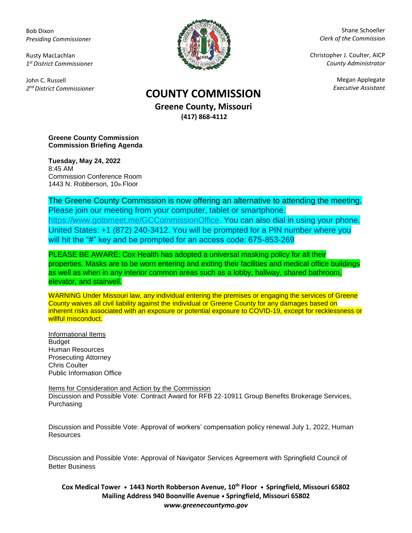Bob Dixon *Presiding Commissioner*

Rusty MacLachlan *1 st District Commissioner*

John C. Russell *2 nd District Commissioner*



Shane Schoeller *Clerk of the Commission*

Christopher J. Coulter, AICP *County Administrator*

Megan Applegate

## *Executive Assistant* **COUNTY COMMISSION**

**Greene County, Missouri (417) 868-4112**

**Greene County Commission Commission Briefing Agenda** 

**Tuesday, May 24, 2022** 8:45 AM Commission Conference Room 1443 N. Robberson, 10th Floor

The Greene County Commission is now offering an alternative to attending the meeting. Please join our meeting from your computer, tablet or smartphone. [https://www.gotomeet.me/GCCommissionOffice.](https://www.gotomeet.me/GCCommissionOffice) You can also dial in using your phone. United States: +1 (872) 240-3412. You will be prompted for a PIN number where you will hit the "#" key and be prompted for an access code: 675-853-269

PLEASE BE AWARE: Cox Health has adopted a universal masking policy for all their properties. Masks are to be worn entering and exiting their facilities and medical office buildings as well as when in any interior common areas such as a lobby, hallway, shared bathroom, elevator, and stairwell.

WARNING Under Missouri law, any individual entering the premises or engaging the services of Greene County waives all civil liability against the individual or Greene County for any damages based on inherent risks associated with an exposure or potential exposure to COVID-19, except for recklessness or willful misconduct.

Informational Items Budget Human Resources Prosecuting Attorney Chris Coulter Public Information Office

Items for Consideration and Action by the Commission Discussion and Possible Vote: Contract Award for RFB 22-10911 Group Benefits Brokerage Services, Purchasing

Discussion and Possible Vote: Approval of workers' compensation policy renewal July 1, 2022, Human **Resources** 

Discussion and Possible Vote: Approval of Navigator Services Agreement with Springfield Council of Better Business

**Cox Medical Tower • 1443 North Robberson Avenue, 10th Floor • Springfield, Missouri 65802 Mailing Address 940 Boonville Avenue • Springfield, Missouri 65802** *www.greenecountymo.gov*